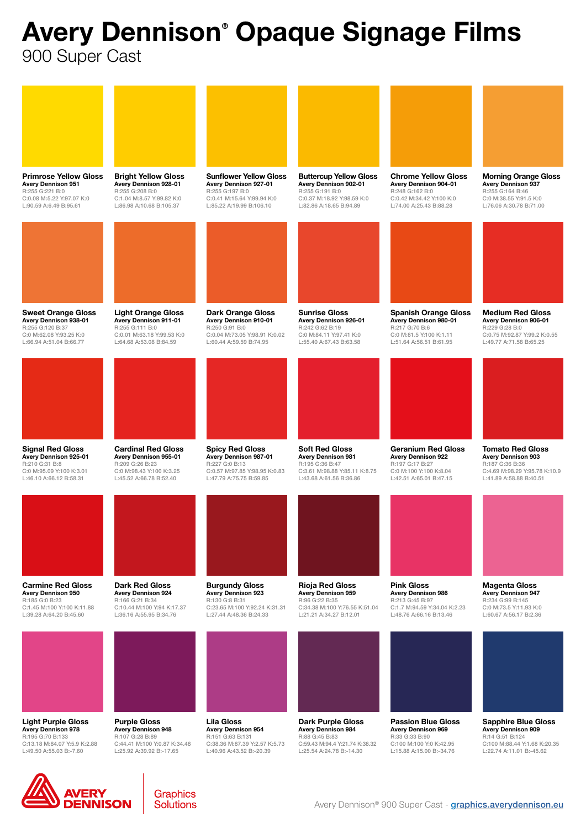## Avery Dennison® Opaque Signage Films

900 Super Cast





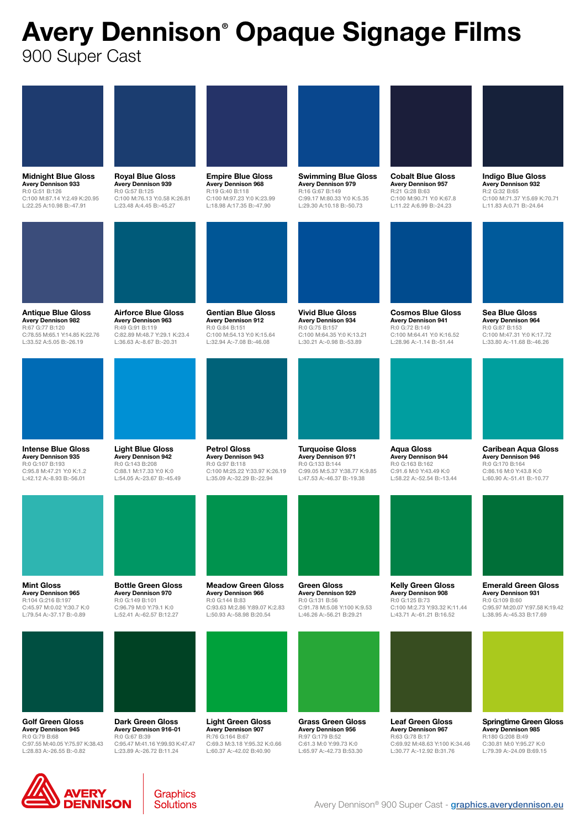## Avery Dennison® Opaque Signage Films

900 Super Cast